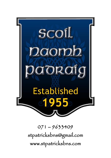

071 – 9633409 [stpatricksbns@gmail.com](mailto:stpatricksbns@gmail.com)  www.stpatricksbns.com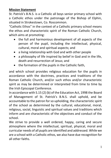## **Mission Statement**

St. Patrick's B.N.S. is a Catholic all boys senior primary school with a Catholic ethos under the patronage of the Bishop of Elphin, situated in Strokestown, Co. Roscommon.

"Catholic Ethos" in the context of a Catholic primary school means the ethos and characteristic spirit of the Roman Catholic Church, which aims at promoting:

- the full and harmonious development of all aspects of the person of the pupil, including the intellectual, physical, cultural, moral and spiritual aspects; and
- a living relationship with God and with other people
- a philosophy of life inspired by belief in God and in the life, death and resurrection of Jesus; and
- the formation of the pupils in the Catholic faith,

and which school provides religious education for the pupils in accordance with the doctrines, practices and traditions of the Roman Catholic Church, and/or such ethos and/or characteristic spirit as may be determined or interpreted from time to time by the Irish Episcopal Conference.

In accordance with S.15 (2) (b) of the Education Act, 1998 the Board of Management of St. Patrick's B.N.S. shall uphold, and be accountable to the patron for so upholding, the characteristic spirit of the school as determined by the cultural, educational, moral, religious, social, linguistic and spiritual values and traditions which inform and are characteristic of the objectives and conduct of the school.

We strive to provide a well ordered, happy, caring and secure atmosphere where the intellectual, spiritual, physical, moral and curricular needs of all pupils are identified and addressed. While we are a school with a Catholic ethos, we also have due recognition for all other faiths.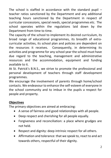The school is staffed in accordance with the standard pupil  $$ teacher ratios sanctioned by the Department and any additional teaching hours sanctioned by the Department in respect of curricular concessions, special needs, special programmes etc. The school operates within the regulations laid down by the Department from time to time.

The capacity of the school to implement its desired curriculum, its broad range of educational programmes, its breadth of extracurricular activities, its school plan and policies are dependent on the resources it receives. Consequently, in determining its activities and programme for any school year the school must have due regard to the teaching, management and administrative resources and the accommodation, equipment and funding available to it.

At St. Patrick's B.N.S., we strive to promote the professional and personal development of teachers through staff development programmes.

We encourage the involvement of parents through home/school contacts. We endeavour to enhance the self-esteem of everyone in the school community and to imbue in the pupils a respect for people and property.

# **Objectives**

The primary objectives are aimed at embracing:

- A sense of fairness and good relationships with all people.
- Deep respect and cherishing for all people equally.
- Forgiveness and reconciliation: a place where grudges are not held.
- Respect and dignity: deep intrinsic respect for all others.
- Affirmation and tolerance: that we speak to, react to and act towards others, respectful of their dignity.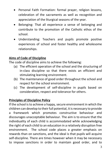- Personal Faith Formation: formal prayer, religion lessons, celebration of the sacraments as well as recognition and appreciation of the liturgical seasons of the year.
- Belonging: That all experience a sense of belonging and contribute to the promotion of the Catholic ethos of the school.
- Understanding: Teachers and pupils promote positive experiences of school and foster healthy and wholesome relationships.

# **Aims of Code of Discipline**

The code of discipline aims to achieve the following:

- (a) The efficient operation of the school and the structuring of in-class discipline so that there exists an efficient and stimulating learning environment.
- (b) The maintenance of good order throughout the school and respect for the school environment.
- (c) The development of self-discipline in pupils based on consideration, respect and tolerance for others.

# **Principles of Discipline Policy**

If the school is to achieve a happy, secure environment in which the children can develop to their full potential, it is necessary to provide a framework which promotes constructive behaviour and discourages unacceptable behaviour. The aim is to ensure that the individuality of each child is accommodated while acknowledging the right of each child to an education in a relatively disruption free environment. The school code places a greater emphasis on rewards than on sanctions, and the ideal is that pupils will acquire self-discipline. There are times however when it may be necessary to impose sanctions in order to maintain good order, and to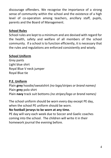discourage offenders. We recognise the importance of a strong sense of community within the school and the existence of a high level of co-operation among teachers, ancillary staff, pupils, parents and the Board of Management.

## **School Rules**

School rules are kept to a minimum and are devised with regard for the health, safety and welfare of all members of the school community. If a school is to function efficiently, it is necessary that the rules and regulations are enforced consistently and wisely.

## **School Uniform**

Grey pants Light blue shirt Royal Blue V neck jumper Royal Blue tie

## **P.E. Uniform**

Plain **grey** hoodie/sweatshirt *(no logo/stripes or brand names)* Plain **grey** polo shirt Plain **navy** track suit bottoms *(no stripes/logo or brand names)*

The school uniform should be worn every day except PE day, when the school PE uniform should be worn.

# **No football jerseys to be worn at any time.**

PE day will vary each week due to Soccer and Gaelic coaches coming into the school. The children will write it in their homework journal the evening before.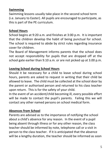# **Swimming**

Swimming lessons usually take place in the second school term (i.e. January to Easter). All pupils are encouraged to participate, as this is part of the PE curriculum.

#### **School Hours**

School begins at 9:20 a.m. and finishes at 3:00 p.m. It is important that the children develop the habit of being punctual for school. The school is required to abide by strict rules regarding insurance cover for children.

The Board of Management informs parents that the school does not accept responsibility for pupils that are dropped off at the school gate earlier than 9.10 a.m. or are not picked up at 3.00 p.m.

#### **Leaving School during School Hours**

Should it be necessary for a child to leave school during school hours, parents are asked to request in writing that their child be allowed to leave. The child must be collected at the school door by the parent or authorised person and returned to his class teacher upon return. This is for the safety of your child.

In the event of an accident/child becoming ill, every possible effort will be made to contact the pupil's parents. Failing this we will contact any other named persons on school medical form.

## **Absences from School**

Parents are advised as to the importance of notifying the school about a child's absence for any reason. In the event of a pupil being absent through illness or for any other reason, the class teacher should be informed by note, telephone call or a visit in person to the class teacher. If it is anticipated that the absence will be a lengthy duration, the teacher should be informed as soon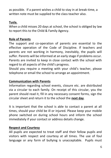as possible. If a parent wishes a child to stay in at break-time, a written note must be supplied to the class teacher also.

#### **Tusla.**

When a child misses 20 days at school, the school is obliged by law to report this to the Child & Family Agency.

## **Role of Parents**

The support and co-operation of parents are essential to the effective operation of the Code of Discipline. If teachers and parents are not working in harmony, inevitably, the pupils will suffer. Parents will be informed at an early stage if problems occur. Parents are invited to keep in close contact with the school with regard to all aspects of the child's progress.

Should you require a meeting with your child's teacher, please telephone or email the school to arrange an appointment.

## **Communication with Parents**

Information regarding school events, closure etc. are distributed via a circular to each family. On receipt of this circular, you the parent should read it, fill in any necessary consent forms, sign the circular sheet and return it to the school the **next day**.

It is important that the school is able to contact a parent at all times, should your child be ill or injured. Please keep your mobile phone switched on during school hours and inform the school immediately if your contact or address details change.

## **Respect and Courtesy**

All pupils are expected to treat staff and their fellow pupils and visitors with respect and courtesy at all times. The use of foul language or any form of bullying is unacceptable. Pupils must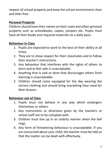respect all school property and keep the school environment clean and litter free.

## **Personal Property**

Children should have their names on their coats and other personal property such as schoolbooks, copies, jumpers etc. Pupils must have all their books and required materials on a daily basis.

#### **Behaviour in Class**

- 1. Pupils are expected to work to the best of their ability at all times.
- 2. They are to show respect for their classmates and to follow their teacher's instructions.
- 3. Any behaviour that interferes with the rights of others to learn and to feel safe is unacceptable.
- 4. Anything that is said or done that discourages others from learning is unacceptable.
- 5. Children should come equipped for the day wearing the correct clothing and should bring everything they need for their lessons.

## **Behaviour out of Class**

- 1. Pupils must not behave in any way which endangers themselves or others.
- 2. Any instructions or directions given by the teachers or school staff are to be complied with.
- 3. Children must line up in an orderly manner when the bell rings.
- 4. Any form of threatening behaviour is unacceptable. If you are concerned about your child, the teacher must be told so that the matter can be dealt with effectively.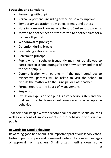## **Strategies and Sanctions**

- Reasoning with pupil.
- Verbal Reprimand, including advice on how to improve.
- Temporary separation from peers, friends and others.
- Note in homework journal or a Report Card sent to parents.
- Moved to another seat or transferred to another class for a cooling off period.
- Withdrawal of privileges.
- Detention during breaks.
- Prescribing extra exercises.
- Referral to principal.
- Pupils who misbehave frequently may not be allowed to participate in school outings for their own safety and that of the other pupils.
- Communication with parents If the pupil continues to misbehave, parents will be asked to visit the school to discuss the matter with the Principal or class teacher.
- Formal report to the Board of Management.
- Suspension.
- Expulsion-Expulsion of a pupil is a very serious step and one that will only be taken in extreme cases of unacceptable behaviour.

Teachers shall keep a written record of all serious misbehaviours as well as a record of improvements in the behaviour of disruptive pupils.

## **Rewards for Good Behaviour**

Rewarding good behaviour is an important part of our school ethos. Notes in pupils' copies and homework notebooks convey messages of approval from teachers. Small prizes, merit stickers, some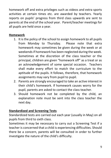homework off and extra privileges such as videos and extra sports activities at certain times etc. are awarded by teachers. Yearly reports on pupils' progress from third class upwards are sent to parents at the end of the school year. Parent/teacher meetings for all pupils are held once a year.

#### **Homework**

- 1. It is the policy of the school to assign homework to all pupils from Monday to Thursday. Please note that extra homework may sometimes be given during the week or at weekends if homework has been neglected during the week. Sometimes at the discretion of the class teacher or the principal, children are given "homework off" as a treat or as an acknowledgement of some special occasion. Teachers shall make every effort to match the curriculum to the aptitude of the pupils. It follows, therefore, that homework assignments may vary from pupil to pupil.
- 2. Parents are strongly encouraged to take an active interest in their child's homework. If homework causes worry for the pupil, parents are asked to contact the class teacher.
- 3. Should homework not be completed by the child, an explanation note must be sent into the class teacher the next day.

## **Standardized and Screening Tests**

Standardized tests are carried out each year (usually in May) on all pupils from third to sixth class.

Sometimes it may be necessary to carry out a Screening Test if a teacher is concerned that a child is experiencing difficulties. Should there be a concern, parents will be consulted in order to further investigate the nature of the child's difficulty.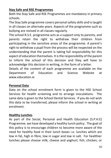# **Stay Safe and RSE Programmes**

Both the Stay Safe and RSE Programmes are mandatory in primary schools.

The Stay Safe programme covers personal safety skills and is taught in all classes on alternate years. Aspects of the programme such as bullying are revised in all classes regularly.

The school R.S.E. programme acts as a support only to parents, and parents retain the right to withdraw their children from participating in the sensitive areas of the programme. A parent's right to withdraw a pupil from the process will be respected on the understanding that the parent is taking full responsibility for this aspect of education themselves. It is the responsibility of the parent to inform the school of this decision and they will have to acknowledge this decision in writing, in the form of a letter.

Details of the content of each programme are available on the Department of Education and Science Website at [www.education.ie](http://www.education.ie/)

## **Personal Data**

Data on the school enrolment form is given to the HSE School Services for health screening and to arrange inoculations. The same data is given to the School Dental Services. If you do not wish this data to be transferred, please inform the school in writing at enrolment.

## **Healthy Lunches**

As part of the Social, Personal and Health Education (S.P.H.E) Programme, we have developed a healthy lunch policy. The goal of this policy is to encourage children to become more aware of the need for healthy food in their lunch boxes i.e. lunches which are low in fat, high in fibre, low in sugar and low in salt. For healthier lunches please choose milk, cheese and yoghurt, fish, chicken, or